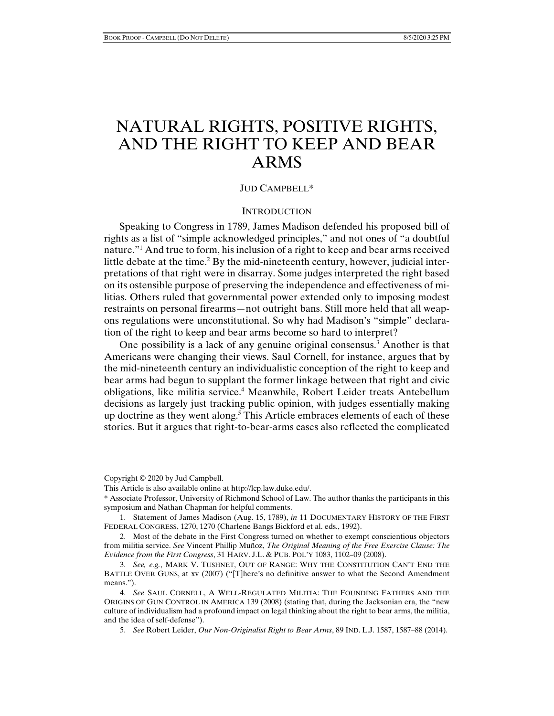# NATURAL RIGHTS, POSITIVE RIGHTS, AND THE RIGHT TO KEEP AND BEAR ARMS

# JUD CAMPBELL\*

## **INTRODUCTION**

Speaking to Congress in 1789, James Madison defended his proposed bill of rights as a list of "simple acknowledged principles," and not ones of "a doubtful nature."1 And true to form, his inclusion of a right to keep and bear arms received little debate at the time.<sup>2</sup> By the mid-nineteenth century, however, judicial interpretations of that right were in disarray. Some judges interpreted the right based on its ostensible purpose of preserving the independence and effectiveness of militias. Others ruled that governmental power extended only to imposing modest restraints on personal firearms—not outright bans. Still more held that all weapons regulations were unconstitutional. So why had Madison's "simple" declaration of the right to keep and bear arms become so hard to interpret?

One possibility is a lack of any genuine original consensus.<sup>3</sup> Another is that Americans were changing their views. Saul Cornell, for instance, argues that by the mid-nineteenth century an individualistic conception of the right to keep and bear arms had begun to supplant the former linkage between that right and civic obligations, like militia service.4 Meanwhile, Robert Leider treats Antebellum decisions as largely just tracking public opinion, with judges essentially making up doctrine as they went along.<sup>5</sup> This Article embraces elements of each of these stories. But it argues that right-to-bear-arms cases also reflected the complicated

Copyright © 2020 by Jud Campbell.

This Article is also available online at http://lcp.law.duke.edu/.

<sup>\*</sup> Associate Professor, University of Richmond School of Law. The author thanks the participants in this symposium and Nathan Chapman for helpful comments.

 <sup>1.</sup> Statement of James Madison (Aug. 15, 1789), *in* 11 DOCUMENTARY HISTORY OF THE FIRST FEDERAL CONGRESS, 1270, 1270 (Charlene Bangs Bickford et al. eds., 1992).

 <sup>2.</sup> Most of the debate in the First Congress turned on whether to exempt conscientious objectors from militia service. *See* Vincent Phillip Muñoz, *The Original Meaning of the Free Exercise Clause: The Evidence from the First Congress*, 31 HARV. J.L. & PUB. POL'Y 1083, 1102–09 (2008).

 <sup>3.</sup> *See, e.g.*, MARK V. TUSHNET, OUT OF RANGE: WHY THE CONSTITUTION CAN'T END THE BATTLE OVER GUNS, at xv (2007) ("[T]here's no definitive answer to what the Second Amendment means.").

 <sup>4.</sup> *See* SAUL CORNELL, A WELL-REGULATED MILITIA: THE FOUNDING FATHERS AND THE ORIGINS OF GUN CONTROL IN AMERICA 139 (2008) (stating that, during the Jacksonian era, the "new culture of individualism had a profound impact on legal thinking about the right to bear arms, the militia, and the idea of self-defense").

 <sup>5.</sup> *See* Robert Leider, *Our Non-Originalist Right to Bear Arms*, 89 IND. L.J. 1587, 1587–88 (2014).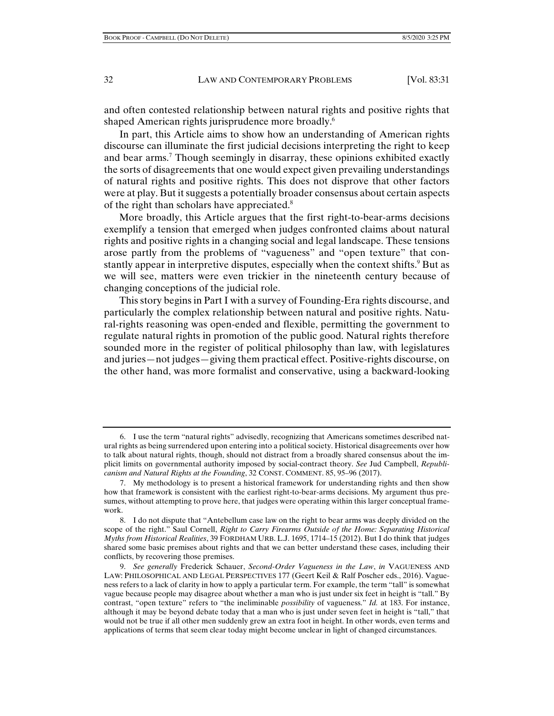and often contested relationship between natural rights and positive rights that shaped American rights jurisprudence more broadly.6

In part, this Article aims to show how an understanding of American rights discourse can illuminate the first judicial decisions interpreting the right to keep and bear arms.<sup>7</sup> Though seemingly in disarray, these opinions exhibited exactly the sorts of disagreements that one would expect given prevailing understandings of natural rights and positive rights. This does not disprove that other factors were at play. But it suggests a potentially broader consensus about certain aspects of the right than scholars have appreciated.<sup>8</sup>

More broadly, this Article argues that the first right-to-bear-arms decisions exemplify a tension that emerged when judges confronted claims about natural rights and positive rights in a changing social and legal landscape. These tensions arose partly from the problems of "vagueness" and "open texture" that constantly appear in interpretive disputes, especially when the context shifts.<sup>9</sup> But as we will see, matters were even trickier in the nineteenth century because of changing conceptions of the judicial role.

This story begins in Part I with a survey of Founding-Era rights discourse, and particularly the complex relationship between natural and positive rights. Natural-rights reasoning was open-ended and flexible, permitting the government to regulate natural rights in promotion of the public good. Natural rights therefore sounded more in the register of political philosophy than law, with legislatures and juries—not judges—giving them practical effect. Positive-rights discourse, on the other hand, was more formalist and conservative, using a backward-looking

 <sup>6.</sup> I use the term "natural rights" advisedly, recognizing that Americans sometimes described natural rights as being surrendered upon entering into a political society. Historical disagreements over how to talk about natural rights, though, should not distract from a broadly shared consensus about the implicit limits on governmental authority imposed by social-contract theory. *See* Jud Campbell, *Republicanism and Natural Rights at the Founding*, 32 CONST. COMMENT. 85, 95–96 (2017).

 <sup>7.</sup> My methodology is to present a historical framework for understanding rights and then show how that framework is consistent with the earliest right-to-bear-arms decisions. My argument thus presumes, without attempting to prove here, that judges were operating within this larger conceptual framework.

 <sup>8.</sup> I do not dispute that "Antebellum case law on the right to bear arms was deeply divided on the scope of the right." Saul Cornell, *Right to Carry Firearms Outside of the Home: Separating Historical Myths from Historical Realities*, 39 FORDHAM URB. L.J. 1695, 1714–15 (2012). But I do think that judges shared some basic premises about rights and that we can better understand these cases, including their conflicts, by recovering those premises.

 <sup>9.</sup> *See generally* Frederick Schauer, *Second-Order Vagueness in the Law*, *in* VAGUENESS AND LAW: PHILOSOPHICAL AND LEGAL PERSPECTIVES 177 (Geert Keil & Ralf Poscher eds., 2016). Vagueness refers to a lack of clarity in how to apply a particular term. For example, the term "tall" is somewhat vague because people may disagree about whether a man who is just under six feet in height is "tall." By contrast, "open texture" refers to "the ineliminable *possibility* of vagueness." *Id.* at 183. For instance, although it may be beyond debate today that a man who is just under seven feet in height is "tall," that would not be true if all other men suddenly grew an extra foot in height. In other words, even terms and applications of terms that seem clear today might become unclear in light of changed circumstances.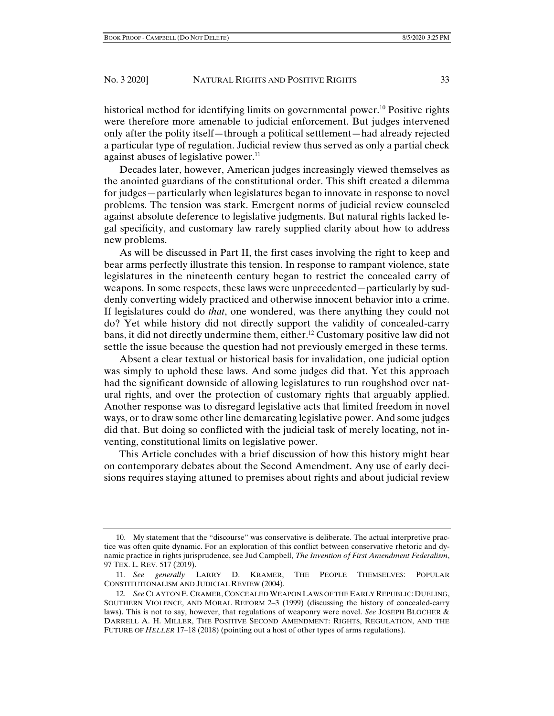historical method for identifying limits on governmental power.<sup>10</sup> Positive rights were therefore more amenable to judicial enforcement. But judges intervened only after the polity itself—through a political settlement—had already rejected a particular type of regulation. Judicial review thus served as only a partial check against abuses of legislative power.<sup>11</sup>

Decades later, however, American judges increasingly viewed themselves as the anointed guardians of the constitutional order. This shift created a dilemma for judges—particularly when legislatures began to innovate in response to novel problems. The tension was stark. Emergent norms of judicial review counseled against absolute deference to legislative judgments. But natural rights lacked legal specificity, and customary law rarely supplied clarity about how to address new problems.

As will be discussed in Part II, the first cases involving the right to keep and bear arms perfectly illustrate this tension. In response to rampant violence, state legislatures in the nineteenth century began to restrict the concealed carry of weapons. In some respects, these laws were unprecedented—particularly by suddenly converting widely practiced and otherwise innocent behavior into a crime. If legislatures could do *that*, one wondered, was there anything they could not do? Yet while history did not directly support the validity of concealed-carry bans, it did not directly undermine them, either.<sup>12</sup> Customary positive law did not settle the issue because the question had not previously emerged in these terms.

Absent a clear textual or historical basis for invalidation, one judicial option was simply to uphold these laws. And some judges did that. Yet this approach had the significant downside of allowing legislatures to run roughshod over natural rights, and over the protection of customary rights that arguably applied. Another response was to disregard legislative acts that limited freedom in novel ways, or to draw some other line demarcating legislative power. And some judges did that. But doing so conflicted with the judicial task of merely locating, not inventing, constitutional limits on legislative power.

This Article concludes with a brief discussion of how this history might bear on contemporary debates about the Second Amendment. Any use of early decisions requires staying attuned to premises about rights and about judicial review

 <sup>10.</sup> My statement that the "discourse" was conservative is deliberate. The actual interpretive practice was often quite dynamic. For an exploration of this conflict between conservative rhetoric and dynamic practice in rights jurisprudence, see Jud Campbell, *The Invention of First Amendment Federalism*, 97 TEX. L. REV. 517 (2019).

 <sup>11.</sup> *See generally* LARRY D. KRAMER, THE PEOPLE THEMSELVES: POPULAR CONSTITUTIONALISM AND JUDICIAL REVIEW (2004).

 <sup>12.</sup> *See* CLAYTON E. CRAMER, CONCEALED WEAPON LAWS OF THE EARLY REPUBLIC: DUELING, SOUTHERN VIOLENCE, AND MORAL REFORM 2–3 (1999) (discussing the history of concealed-carry laws). This is not to say, however, that regulations of weaponry were novel. *See* JOSEPH BLOCHER & DARRELL A. H. MILLER, THE POSITIVE SECOND AMENDMENT: RIGHTS, REGULATION, AND THE FUTURE OF *HELLER* 17–18 (2018) (pointing out a host of other types of arms regulations).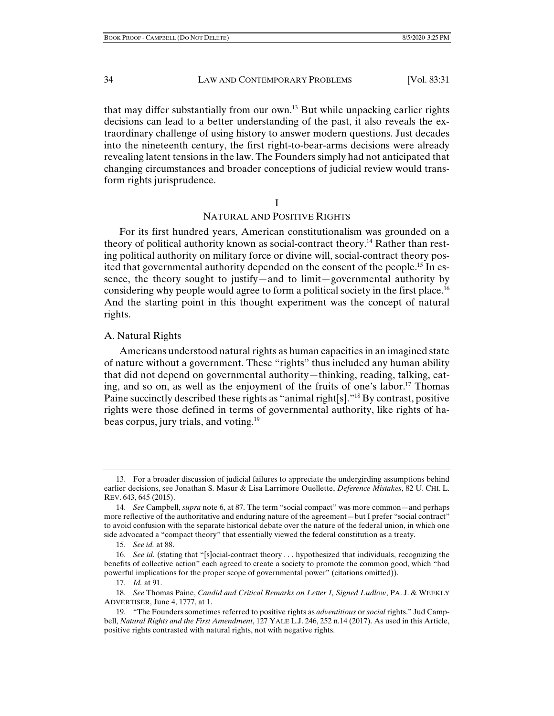that may differ substantially from our own.13 But while unpacking earlier rights decisions can lead to a better understanding of the past, it also reveals the extraordinary challenge of using history to answer modern questions. Just decades into the nineteenth century, the first right-to-bear-arms decisions were already revealing latent tensions in the law. The Founders simply had not anticipated that changing circumstances and broader conceptions of judicial review would transform rights jurisprudence.

I

## NATURAL AND POSITIVE RIGHTS

For its first hundred years, American constitutionalism was grounded on a theory of political authority known as social-contract theory.14 Rather than resting political authority on military force or divine will, social-contract theory posited that governmental authority depended on the consent of the people.<sup>15</sup> In essence, the theory sought to justify—and to limit—governmental authority by considering why people would agree to form a political society in the first place.<sup>16</sup> And the starting point in this thought experiment was the concept of natural rights.

#### A. Natural Rights

Americans understood natural rights as human capacities in an imagined state of nature without a government. These "rights" thus included any human ability that did not depend on governmental authority—thinking, reading, talking, eating, and so on, as well as the enjoyment of the fruits of one's labor.<sup>17</sup> Thomas Paine succinctly described these rights as "animal right[s]."<sup>18</sup> By contrast, positive rights were those defined in terms of governmental authority, like rights of habeas corpus, jury trials, and voting.19

 <sup>13.</sup> For a broader discussion of judicial failures to appreciate the undergirding assumptions behind earlier decisions, see Jonathan S. Masur & Lisa Larrimore Ouellette, *Deference Mistakes*, 82 U. CHI. L. REV. 643, 645 (2015).

 <sup>14.</sup> *See* Campbell, *supra* note 6, at 87. The term "social compact" was more common—and perhaps more reflective of the authoritative and enduring nature of the agreement—but I prefer "social contract" to avoid confusion with the separate historical debate over the nature of the federal union, in which one side advocated a "compact theory" that essentially viewed the federal constitution as a treaty.

 <sup>15.</sup> *See id.* at 88.

 <sup>16.</sup> *See id.* (stating that "[s]ocial-contract theory . . . hypothesized that individuals, recognizing the benefits of collective action" each agreed to create a society to promote the common good, which "had powerful implications for the proper scope of governmental power" (citations omitted)).

 <sup>17.</sup> *Id.* at 91.

 <sup>18.</sup> *See* Thomas Paine, *Candid and Critical Remarks on Letter 1, Signed Ludlow*, PA. J. & WEEKLY ADVERTISER, June 4, 1777, at 1.

 <sup>19. &</sup>quot;The Founders sometimes referred to positive rights as *adventitious* or *social* rights." Jud Campbell, *Natural Rights and the First Amendment*, 127 YALE L.J. 246, 252 n.14 (2017). As used in this Article, positive rights contrasted with natural rights, not with negative rights.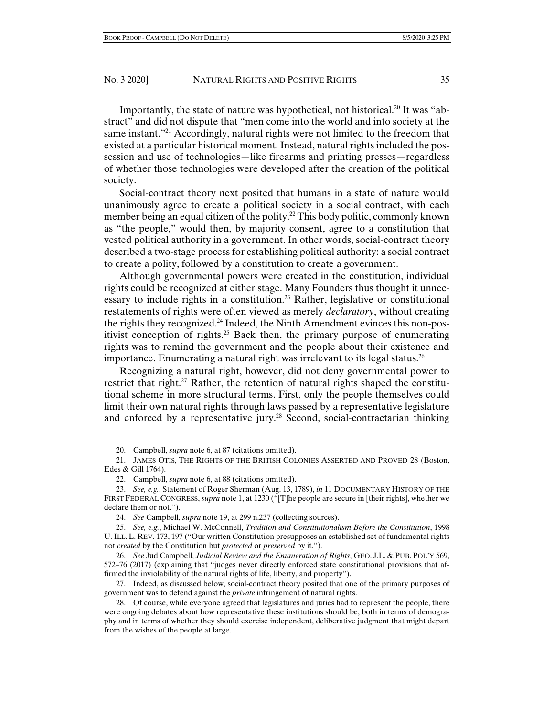Importantly, the state of nature was hypothetical, not historical.<sup>20</sup> It was "abstract" and did not dispute that "men come into the world and into society at the same instant."<sup>21</sup> Accordingly, natural rights were not limited to the freedom that existed at a particular historical moment. Instead, natural rights included the possession and use of technologies—like firearms and printing presses—regardless of whether those technologies were developed after the creation of the political society.

Social-contract theory next posited that humans in a state of nature would unanimously agree to create a political society in a social contract, with each member being an equal citizen of the polity.<sup>22</sup> This body politic, commonly known as "the people," would then, by majority consent, agree to a constitution that vested political authority in a government. In other words, social-contract theory described a two-stage process for establishing political authority: a social contract to create a polity, followed by a constitution to create a government.

Although governmental powers were created in the constitution, individual rights could be recognized at either stage. Many Founders thus thought it unnecessary to include rights in a constitution.<sup>23</sup> Rather, legislative or constitutional restatements of rights were often viewed as merely *declaratory*, without creating the rights they recognized.<sup>24</sup> Indeed, the Ninth Amendment evinces this non-positivist conception of rights.<sup>25</sup> Back then, the primary purpose of enumerating rights was to remind the government and the people about their existence and importance. Enumerating a natural right was irrelevant to its legal status.<sup>26</sup>

Recognizing a natural right, however, did not deny governmental power to restrict that right.<sup>27</sup> Rather, the retention of natural rights shaped the constitutional scheme in more structural terms. First, only the people themselves could limit their own natural rights through laws passed by a representative legislature and enforced by a representative jury.<sup>28</sup> Second, social-contractarian thinking

 <sup>20.</sup> Campbell, *supra* note 6, at 87 (citations omitted).

 <sup>21.</sup> JAMES OTIS, THE RIGHTS OF THE BRITISH COLONIES ASSERTED AND PROVED 28 (Boston, Edes & Gill 1764).

 <sup>22.</sup> Campbell, *supra* note 6, at 88 (citations omitted).

 <sup>23.</sup> *See, e.g.*, Statement of Roger Sherman (Aug. 13, 1789), *in* 11 DOCUMENTARY HISTORY OF THE FIRST FEDERAL CONGRESS, *supra* note 1, at 1230 ("[T]he people are secure in [their rights], whether we declare them or not.").

 <sup>24.</sup> *See* Campbell, *supra* note 19, at 299 n.237 (collecting sources).

 <sup>25.</sup> *See, e.g.*, Michael W. McConnell, *Tradition and Constitutionalism Before the Constitution*, 1998 U. ILL. L. REV. 173, 197 ("Our written Constitution presupposes an established set of fundamental rights not *created* by the Constitution but *protected* or *preserved* by it.").

 <sup>26.</sup> *See* Jud Campbell, *Judicial Review and the Enumeration of Rights*, GEO. J.L. & PUB. POL'Y 569, 572–76 (2017) (explaining that "judges never directly enforced state constitutional provisions that affirmed the inviolability of the natural rights of life, liberty, and property").

 <sup>27.</sup> Indeed, as discussed below, social-contract theory posited that one of the primary purposes of government was to defend against the *private* infringement of natural rights.

 <sup>28.</sup> Of course, while everyone agreed that legislatures and juries had to represent the people, there were ongoing debates about how representative these institutions should be, both in terms of demography and in terms of whether they should exercise independent, deliberative judgment that might depart from the wishes of the people at large.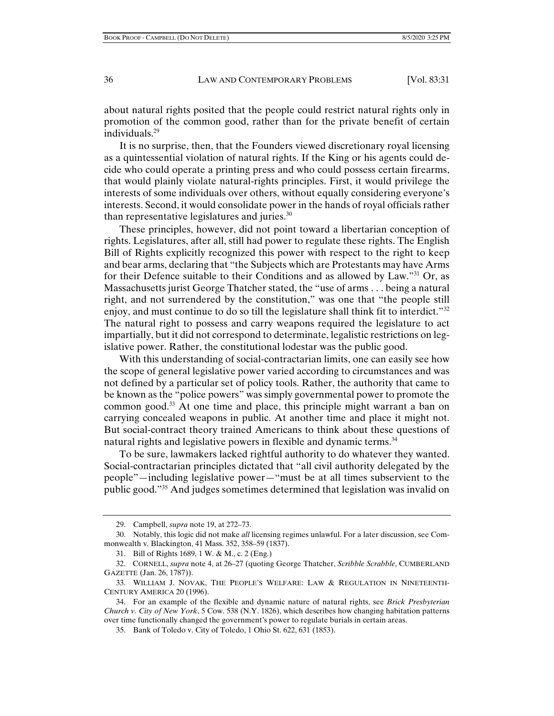about natural rights posited that the people could restrict natural rights only in promotion of the common good, rather than for the private benefit of certain individuals.29

It is no surprise, then, that the Founders viewed discretionary royal licensing as a quintessential violation of natural rights. If the King or his agents could decide who could operate a printing press and who could possess certain firearms, that would plainly violate natural-rights principles. First, it would privilege the interests of some individuals over others, without equally considering everyone's interests. Second, it would consolidate power in the hands of royal officials rather than representative legislatures and juries.30

These principles, however, did not point toward a libertarian conception of rights. Legislatures, after all, still had power to regulate these rights. The English Bill of Rights explicitly recognized this power with respect to the right to keep and bear arms, declaring that "the Subjects which are Protestants may have Arms for their Defence suitable to their Conditions and as allowed by Law."31 Or, as Massachusetts jurist George Thatcher stated, the "use of arms . . . being a natural right, and not surrendered by the constitution," was one that "the people still enjoy, and must continue to do so till the legislature shall think fit to interdict." $32$ The natural right to possess and carry weapons required the legislature to act impartially, but it did not correspond to determinate, legalistic restrictions on legislative power. Rather, the constitutional lodestar was the public good.

With this understanding of social-contractarian limits, one can easily see how the scope of general legislative power varied according to circumstances and was not defined by a particular set of policy tools. Rather, the authority that came to be known as the "police powers" was simply governmental power to promote the common good.33 At one time and place, this principle might warrant a ban on carrying concealed weapons in public. At another time and place it might not. But social-contract theory trained Americans to think about these questions of natural rights and legislative powers in flexible and dynamic terms.<sup>34</sup>

To be sure, lawmakers lacked rightful authority to do whatever they wanted. Social-contractarian principles dictated that "all civil authority delegated by the people"—including legislative power—"must be at all times subservient to the public good."35 And judges sometimes determined that legislation was invalid on

 <sup>29.</sup> Campbell, *supra* note 19, at 272–73.

 <sup>30.</sup> Notably, this logic did not make *all* licensing regimes unlawful. For a later discussion, see Commonwealth v. Blackington, 41 Mass. 352, 358–59 (1837).

 <sup>31.</sup> Bill of Rights 1689, 1 W. & M., c. 2 (Eng.)

 <sup>32.</sup> CORNELL, *supra* note 4, at 26–27 (quoting George Thatcher, *Scribble Scrabble*, CUMBERLAND GAZETTE (Jan. 26, 1787)).

 <sup>33.</sup> WILLIAM J. NOVAK, THE PEOPLE'S WELFARE: LAW & REGULATION IN NINETEENTH-CENTURY AMERICA 20 (1996).

 <sup>34.</sup> For an example of the flexible and dynamic nature of natural rights, see *Brick Presbyterian Church v. City of New York*, 5 Cow. 538 (N.Y. 1826), which describes how changing habitation patterns over time functionally changed the government's power to regulate burials in certain areas.

 <sup>35.</sup> Bank of Toledo v. City of Toledo, 1 Ohio St. 622, 631 (1853).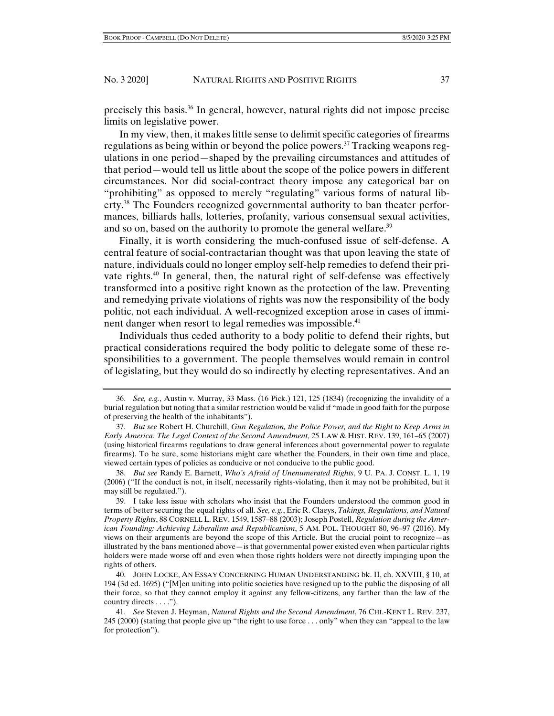precisely this basis.36 In general, however, natural rights did not impose precise limits on legislative power.

In my view, then, it makes little sense to delimit specific categories of firearms regulations as being within or beyond the police powers.<sup>37</sup> Tracking weapons regulations in one period—shaped by the prevailing circumstances and attitudes of that period—would tell us little about the scope of the police powers in different circumstances. Nor did social-contract theory impose any categorical bar on "prohibiting" as opposed to merely "regulating" various forms of natural liberty.<sup>38</sup> The Founders recognized governmental authority to ban theater performances, billiards halls, lotteries, profanity, various consensual sexual activities, and so on, based on the authority to promote the general welfare.<sup>39</sup>

Finally, it is worth considering the much-confused issue of self-defense. A central feature of social-contractarian thought was that upon leaving the state of nature, individuals could no longer employ self-help remedies to defend their private rights.40 In general, then, the natural right of self-defense was effectively transformed into a positive right known as the protection of the law. Preventing and remedying private violations of rights was now the responsibility of the body politic, not each individual. A well-recognized exception arose in cases of imminent danger when resort to legal remedies was impossible.<sup>41</sup>

Individuals thus ceded authority to a body politic to defend their rights, but practical considerations required the body politic to delegate some of these responsibilities to a government. The people themselves would remain in control of legislating, but they would do so indirectly by electing representatives. And an

 <sup>36.</sup> *See, e.g.*, Austin v. Murray, 33 Mass. (16 Pick.) 121, 125 (1834) (recognizing the invalidity of a burial regulation but noting that a similar restriction would be valid if "made in good faith for the purpose of preserving the health of the inhabitants").

 <sup>37.</sup> *But see* Robert H. Churchill, *Gun Regulation, the Police Power, and the Right to Keep Arms in Early America: The Legal Context of the Second Amendment*, 25 LAW & HIST. REV. 139, 161–65 (2007) (using historical firearms regulations to draw general inferences about governmental power to regulate firearms). To be sure, some historians might care whether the Founders, in their own time and place, viewed certain types of policies as conducive or not conducive to the public good.

 <sup>38.</sup> *But see* Randy E. Barnett, *Who's Afraid of Unenumerated Rights*, 9 U. PA. J. CONST. L. 1, 19 (2006) ("If the conduct is not, in itself, necessarily rights-violating, then it may not be prohibited, but it may still be regulated.").

 <sup>39.</sup> I take less issue with scholars who insist that the Founders understood the common good in terms of better securing the equal rights of all. *See, e.g.*, Eric R. Claeys, *Takings, Regulations, and Natural Property Rights*, 88 CORNELL L. REV. 1549, 1587–88 (2003); Joseph Postell, *Regulation during the American Founding: Achieving Liberalism and Republicanism*, 5 AM. POL. THOUGHT 80, 96–97 (2016). My views on their arguments are beyond the scope of this Article. But the crucial point to recognize—as illustrated by the bans mentioned above—is that governmental power existed even when particular rights holders were made worse off and even when those rights holders were not directly impinging upon the rights of others.

 <sup>40.</sup> JOHN LOCKE, AN ESSAY CONCERNING HUMAN UNDERSTANDING bk. II, ch. XXVIII, § 10, at 194 (3d ed. 1695) ("[M]en uniting into politic societies have resigned up to the public the disposing of all their force, so that they cannot employ it against any fellow-citizens, any farther than the law of the country directs . . . .").

 <sup>41.</sup> *See* Steven J. Heyman, *Natural Rights and the Second Amendment*, 76 CHI.-KENT L. REV. 237, 245 (2000) (stating that people give up "the right to use force . . . only" when they can "appeal to the law for protection").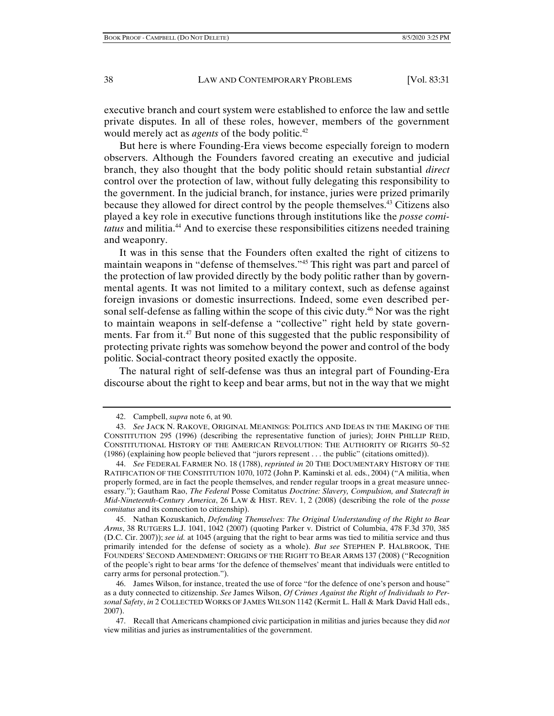executive branch and court system were established to enforce the law and settle private disputes. In all of these roles, however, members of the government would merely act as *agents* of the body politic.<sup>42</sup>

But here is where Founding-Era views become especially foreign to modern observers. Although the Founders favored creating an executive and judicial branch, they also thought that the body politic should retain substantial *direct* control over the protection of law, without fully delegating this responsibility to the government. In the judicial branch, for instance, juries were prized primarily because they allowed for direct control by the people themselves.43 Citizens also played a key role in executive functions through institutions like the *posse comitatus* and militia.<sup>44</sup> And to exercise these responsibilities citizens needed training and weaponry.

It was in this sense that the Founders often exalted the right of citizens to maintain weapons in "defense of themselves."45 This right was part and parcel of the protection of law provided directly by the body politic rather than by governmental agents. It was not limited to a military context, such as defense against foreign invasions or domestic insurrections. Indeed, some even described personal self-defense as falling within the scope of this civic duty.46 Nor was the right to maintain weapons in self-defense a "collective" right held by state governments. Far from it.<sup>47</sup> But none of this suggested that the public responsibility of protecting private rights was somehow beyond the power and control of the body politic. Social-contract theory posited exactly the opposite.

The natural right of self-defense was thus an integral part of Founding-Era discourse about the right to keep and bear arms, but not in the way that we might

 45. Nathan Kozuskanich, *Defending Themselves: The Original Understanding of the Right to Bear Arms*, 38 RUTGERS L.J. 1041, 1042 (2007) (quoting Parker v. District of Columbia, 478 F.3d 370, 385 (D.C. Cir. 2007)); *see id.* at 1045 (arguing that the right to bear arms was tied to militia service and thus primarily intended for the defense of society as a whole). *But see* STEPHEN P. HALBROOK, THE FOUNDERS' SECOND AMENDMENT: ORIGINS OF THE RIGHT TO BEAR ARMS 137 (2008) ("Recognition of the people's right to bear arms 'for the defence of themselves' meant that individuals were entitled to carry arms for personal protection.").

 <sup>42.</sup> Campbell, *supra* note 6, at 90.

 <sup>43.</sup> *See* JACK N. RAKOVE, ORIGINAL MEANINGS: POLITICS AND IDEAS IN THE MAKING OF THE CONSTITUTION 295 (1996) (describing the representative function of juries); JOHN PHILLIP REID, CONSTITUTIONAL HISTORY OF THE AMERICAN REVOLUTION: THE AUTHORITY OF RIGHTS 50–52 (1986) (explaining how people believed that "jurors represent . . . the public" (citations omitted)).

 <sup>44.</sup> *See* FEDERAL FARMER NO. 18 (1788), *reprinted in* 20 THE DOCUMENTARY HISTORY OF THE RATIFICATION OF THE CONSTITUTION 1070, 1072 (John P. Kaminski et al. eds., 2004) ("A militia, when properly formed, are in fact the people themselves, and render regular troops in a great measure unnecessary."); Gautham Rao, *The Federal* Posse Comitatus *Doctrine: Slavery, Compulsion, and Statecraft in Mid-Nineteenth-Century America*, 26 LAW & HIST. REV. 1, 2 (2008) (describing the role of the *posse comitatus* and its connection to citizenship).

 <sup>46.</sup> James Wilson, for instance, treated the use of force "for the defence of one's person and house" as a duty connected to citizenship. *See* James Wilson, *Of Crimes Against the Right of Individuals to Personal Safety*, *in* 2 COLLECTED WORKS OF JAMES WILSON 1142 (Kermit L. Hall & Mark David Hall eds., 2007).

 <sup>47.</sup> Recall that Americans championed civic participation in militias and juries because they did *not*  view militias and juries as instrumentalities of the government.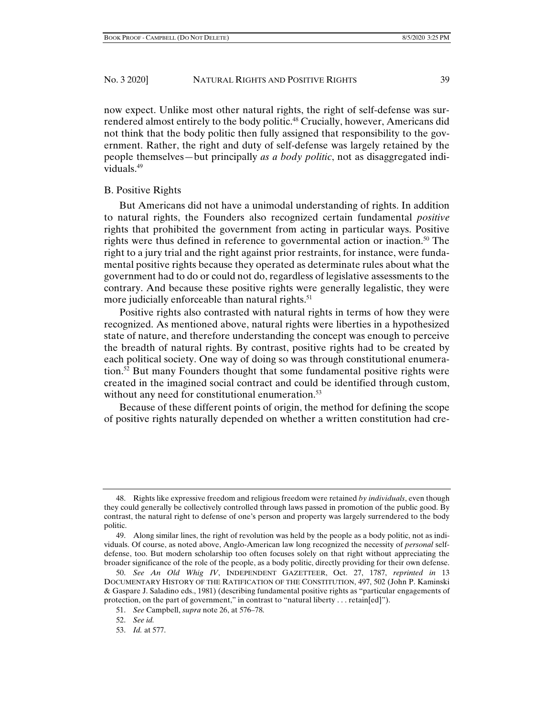now expect. Unlike most other natural rights, the right of self-defense was surrendered almost entirely to the body politic.<sup>48</sup> Crucially, however, Americans did not think that the body politic then fully assigned that responsibility to the government. Rather, the right and duty of self-defense was largely retained by the people themselves—but principally *as a body politic*, not as disaggregated individuals.49

## B. Positive Rights

But Americans did not have a unimodal understanding of rights. In addition to natural rights, the Founders also recognized certain fundamental *positive* rights that prohibited the government from acting in particular ways. Positive rights were thus defined in reference to governmental action or inaction.50 The right to a jury trial and the right against prior restraints, for instance, were fundamental positive rights because they operated as determinate rules about what the government had to do or could not do, regardless of legislative assessments to the contrary. And because these positive rights were generally legalistic, they were more judicially enforceable than natural rights.<sup>51</sup>

Positive rights also contrasted with natural rights in terms of how they were recognized. As mentioned above, natural rights were liberties in a hypothesized state of nature, and therefore understanding the concept was enough to perceive the breadth of natural rights. By contrast, positive rights had to be created by each political society. One way of doing so was through constitutional enumeration.52 But many Founders thought that some fundamental positive rights were created in the imagined social contract and could be identified through custom, without any need for constitutional enumeration.<sup>53</sup>

Because of these different points of origin, the method for defining the scope of positive rights naturally depended on whether a written constitution had cre-

 <sup>48.</sup> Rights like expressive freedom and religious freedom were retained *by individuals*, even though they could generally be collectively controlled through laws passed in promotion of the public good. By contrast, the natural right to defense of one's person and property was largely surrendered to the body politic.

 <sup>49.</sup> Along similar lines, the right of revolution was held by the people as a body politic, not as individuals. Of course, as noted above, Anglo-American law long recognized the necessity of *personal* selfdefense, too. But modern scholarship too often focuses solely on that right without appreciating the broader significance of the role of the people, as a body politic, directly providing for their own defense.

 <sup>50.</sup> *See An Old Whig IV*, INDEPENDENT GAZETTEER, Oct. 27, 1787, *reprinted in* 13 DOCUMENTARY HISTORY OF THE RATIFICATION OF THE CONSTITUTION, 497, 502 (John P. Kaminski & Gaspare J. Saladino eds., 1981) (describing fundamental positive rights as "particular engagements of protection, on the part of government," in contrast to "natural liberty . . . retain[ed]").

 <sup>51.</sup> *See* Campbell, *supra* note 26, at 576–78.

 <sup>52.</sup> *See id.*

 <sup>53.</sup> *Id.* at 577.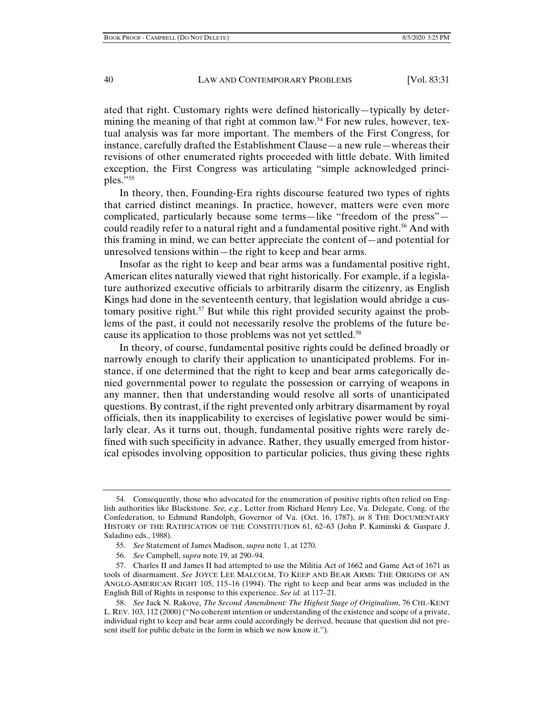ated that right. Customary rights were defined historically—typically by determining the meaning of that right at common law.<sup>54</sup> For new rules, however, textual analysis was far more important. The members of the First Congress, for instance, carefully drafted the Establishment Clause—a new rule—whereas their revisions of other enumerated rights proceeded with little debate. With limited exception, the First Congress was articulating "simple acknowledged principles."55

In theory, then, Founding-Era rights discourse featured two types of rights that carried distinct meanings. In practice, however, matters were even more complicated, particularly because some terms—like "freedom of the press" could readily refer to a natural right and a fundamental positive right.<sup>56</sup> And with this framing in mind, we can better appreciate the content of—and potential for unresolved tensions within—the right to keep and bear arms.

Insofar as the right to keep and bear arms was a fundamental positive right, American elites naturally viewed that right historically. For example, if a legislature authorized executive officials to arbitrarily disarm the citizenry, as English Kings had done in the seventeenth century, that legislation would abridge a customary positive right.<sup>57</sup> But while this right provided security against the problems of the past, it could not necessarily resolve the problems of the future because its application to those problems was not yet settled.<sup>58</sup>

In theory, of course, fundamental positive rights could be defined broadly or narrowly enough to clarify their application to unanticipated problems. For instance, if one determined that the right to keep and bear arms categorically denied governmental power to regulate the possession or carrying of weapons in any manner, then that understanding would resolve all sorts of unanticipated questions. By contrast, if the right prevented only arbitrary disarmament by royal officials, then its inapplicability to exercises of legislative power would be similarly clear. As it turns out, though, fundamental positive rights were rarely defined with such specificity in advance. Rather, they usually emerged from historical episodes involving opposition to particular policies, thus giving these rights

 <sup>54.</sup> Consequently, those who advocated for the enumeration of positive rights often relied on English authorities like Blackstone. *See, e.g.*, Letter from Richard Henry Lee, Va. Delegate, Cong. of the Confederation, to Edmund Randolph, Governor of Va. (Oct. 16, 1787), *in* 8 THE DOCUMENTARY HISTORY OF THE RATIFICATION OF THE CONSTITUTION 61, 62–63 (John P. Kaminski & Gaspare J. Saladino eds., 1988).

 <sup>55.</sup> *See* Statement of James Madison, *supra* note 1, at 1270.

 <sup>56.</sup> *See* Campbell, *supra* note 19, at 290–94.

 <sup>57.</sup> Charles II and James II had attempted to use the Militia Act of 1662 and Game Act of 1671 as tools of disarmament. *See* JOYCE LEE MALCOLM, TO KEEP AND BEAR ARMS: THE ORIGINS OF AN ANGLO-AMERICAN RIGHT 105, 115–16 (1994). The right to keep and bear arms was included in the English Bill of Rights in response to this experience. *See id.* at 117–21.

 <sup>58.</sup> *See* Jack N. Rakove, *The Second Amendment: The Highest Stage of Originalism*, 76 CHI.-KENT L. REV. 103, 112 (2000) ("No coherent intention or understanding of the existence and scope of a private, individual right to keep and bear arms could accordingly be derived, because that question did not present itself for public debate in the form in which we now know it.").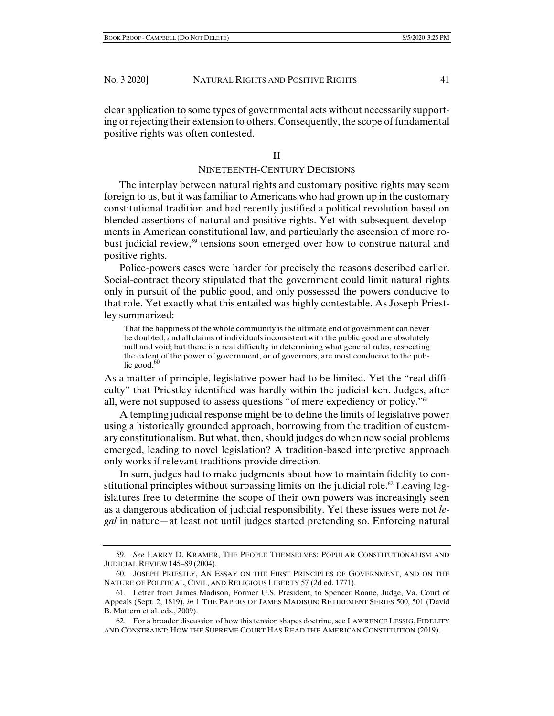clear application to some types of governmental acts without necessarily supporting or rejecting their extension to others. Consequently, the scope of fundamental positive rights was often contested.

#### II

# NINETEENTH-CENTURY DECISIONS

The interplay between natural rights and customary positive rights may seem foreign to us, but it was familiar to Americans who had grown up in the customary constitutional tradition and had recently justified a political revolution based on blended assertions of natural and positive rights. Yet with subsequent developments in American constitutional law, and particularly the ascension of more robust judicial review,<sup>59</sup> tensions soon emerged over how to construe natural and positive rights.

Police-powers cases were harder for precisely the reasons described earlier. Social-contract theory stipulated that the government could limit natural rights only in pursuit of the public good, and only possessed the powers conducive to that role. Yet exactly what this entailed was highly contestable. As Joseph Priestley summarized:

That the happiness of the whole community is the ultimate end of government can never be doubted, and all claims of individuals inconsistent with the public good are absolutely null and void; but there is a real difficulty in determining what general rules, respecting the extent of the power of government, or of governors, are most conducive to the public good. $60$ 

As a matter of principle, legislative power had to be limited. Yet the "real difficulty" that Priestley identified was hardly within the judicial ken. Judges, after all, were not supposed to assess questions "of mere expediency or policy."61

A tempting judicial response might be to define the limits of legislative power using a historically grounded approach, borrowing from the tradition of customary constitutionalism. But what, then, should judges do when new social problems emerged, leading to novel legislation? A tradition-based interpretive approach only works if relevant traditions provide direction.

In sum, judges had to make judgments about how to maintain fidelity to constitutional principles without surpassing limits on the judicial role.<sup>62</sup> Leaving legislatures free to determine the scope of their own powers was increasingly seen as a dangerous abdication of judicial responsibility. Yet these issues were not *legal* in nature—at least not until judges started pretending so. Enforcing natural

 <sup>59.</sup> *See* LARRY D. KRAMER, THE PEOPLE THEMSELVES: POPULAR CONSTITUTIONALISM AND JUDICIAL REVIEW 145–89 (2004).

 <sup>60.</sup> JOSEPH PRIESTLY, AN ESSAY ON THE FIRST PRINCIPLES OF GOVERNMENT, AND ON THE NATURE OF POLITICAL, CIVIL, AND RELIGIOUS LIBERTY 57 (2d ed. 1771).

 <sup>61.</sup> Letter from James Madison, Former U.S. President, to Spencer Roane, Judge, Va. Court of Appeals (Sept. 2, 1819), *in* 1 THE PAPERS OF JAMES MADISON: RETIREMENT SERIES 500, 501 (David B. Mattern et al. eds., 2009).

 <sup>62.</sup> For a broader discussion of how this tension shapes doctrine, see LAWRENCE LESSIG, FIDELITY AND CONSTRAINT: HOW THE SUPREME COURT HAS READ THE AMERICAN CONSTITUTION (2019).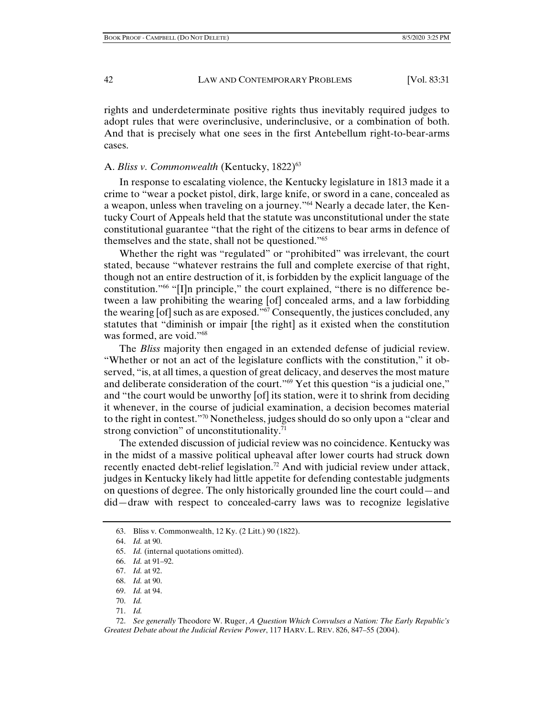rights and underdeterminate positive rights thus inevitably required judges to adopt rules that were overinclusive, underinclusive, or a combination of both. And that is precisely what one sees in the first Antebellum right-to-bear-arms cases.

## A. *Bliss v. Commonwealth* (Kentucky, 1822)<sup>63</sup>

In response to escalating violence, the Kentucky legislature in 1813 made it a crime to "wear a pocket pistol, dirk, large knife, or sword in a cane, concealed as a weapon, unless when traveling on a journey."64 Nearly a decade later, the Kentucky Court of Appeals held that the statute was unconstitutional under the state constitutional guarantee "that the right of the citizens to bear arms in defence of themselves and the state, shall not be questioned."65

Whether the right was "regulated" or "prohibited" was irrelevant, the court stated, because "whatever restrains the full and complete exercise of that right, though not an entire destruction of it, is forbidden by the explicit language of the constitution."66 "[I]n principle," the court explained, "there is no difference between a law prohibiting the wearing [of] concealed arms, and a law forbidding the wearing [of] such as are exposed."67 Consequently, the justices concluded, any statutes that "diminish or impair [the right] as it existed when the constitution was formed, are void."68

The *Bliss* majority then engaged in an extended defense of judicial review. "Whether or not an act of the legislature conflicts with the constitution," it observed, "is, at all times, a question of great delicacy, and deserves the most mature and deliberate consideration of the court."<sup>69</sup> Yet this question "is a judicial one," and "the court would be unworthy [of] its station, were it to shrink from deciding it whenever, in the course of judicial examination, a decision becomes material to the right in contest."70 Nonetheless, judges should do so only upon a "clear and strong conviction" of unconstitutionality.<sup>71</sup>

The extended discussion of judicial review was no coincidence. Kentucky was in the midst of a massive political upheaval after lower courts had struck down recently enacted debt-relief legislation.<sup>72</sup> And with judicial review under attack, judges in Kentucky likely had little appetite for defending contestable judgments on questions of degree. The only historically grounded line the court could—and did—draw with respect to concealed-carry laws was to recognize legislative

65. *Id.* (internal quotations omitted).

- 67. *Id.* at 92.
- 68. *Id.* at 90.
- 69. *Id.* at 94.
- 70. *Id.*
- 71. *Id.*

 72. *See generally* Theodore W. Ruger, *A Question Which Convulses a Nation: The Early Republic's Greatest Debate about the Judicial Review Power*, 117 HARV. L. REV. 826, 847–55 (2004).

 <sup>63.</sup> Bliss v. Commonwealth, 12 Ky. (2 Litt.) 90 (1822).

 <sup>64.</sup> *Id.* at 90.

 <sup>66.</sup> *Id.* at 91–92.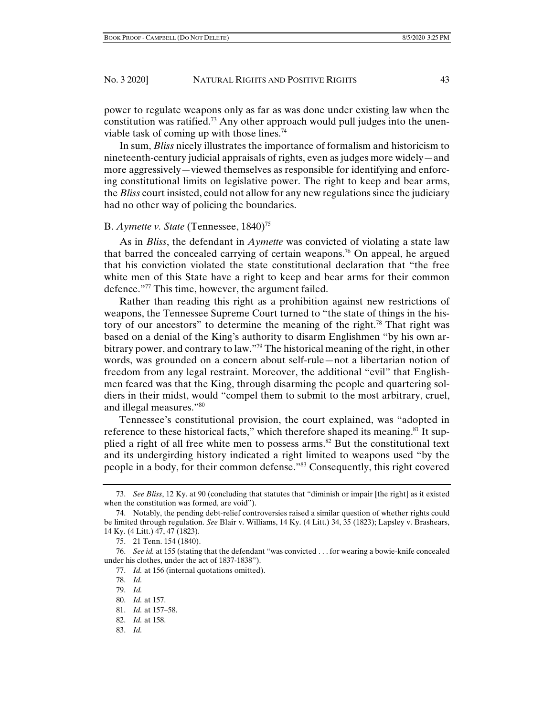power to regulate weapons only as far as was done under existing law when the constitution was ratified.<sup>73</sup> Any other approach would pull judges into the unenviable task of coming up with those lines.<sup>74</sup>

In sum, *Bliss* nicely illustrates the importance of formalism and historicism to nineteenth-century judicial appraisals of rights, even as judges more widely—and more aggressively—viewed themselves as responsible for identifying and enforcing constitutional limits on legislative power. The right to keep and bear arms, the *Bliss* court insisted, could not allow for any new regulations since the judiciary had no other way of policing the boundaries.

#### B. *Aymette v. State* (Tennessee, 1840)75

As in *Bliss*, the defendant in *Aymette* was convicted of violating a state law that barred the concealed carrying of certain weapons.<sup>76</sup> On appeal, he argued that his conviction violated the state constitutional declaration that "the free white men of this State have a right to keep and bear arms for their common defence."77 This time, however, the argument failed.

Rather than reading this right as a prohibition against new restrictions of weapons, the Tennessee Supreme Court turned to "the state of things in the history of our ancestors" to determine the meaning of the right.<sup>78</sup> That right was based on a denial of the King's authority to disarm Englishmen "by his own arbitrary power, and contrary to law."79 The historical meaning of the right, in other words, was grounded on a concern about self-rule—not a libertarian notion of freedom from any legal restraint. Moreover, the additional "evil" that Englishmen feared was that the King, through disarming the people and quartering soldiers in their midst, would "compel them to submit to the most arbitrary, cruel, and illegal measures."80

Tennessee's constitutional provision, the court explained, was "adopted in reference to these historical facts," which therefore shaped its meaning.<sup>81</sup> It supplied a right of all free white men to possess arms.<sup>82</sup> But the constitutional text and its undergirding history indicated a right limited to weapons used "by the people in a body, for their common defense."83 Consequently, this right covered

- 82. *Id.* at 158.
- 83. *Id.*

 <sup>73.</sup> *See Bliss*, 12 Ky. at 90 (concluding that statutes that "diminish or impair [the right] as it existed when the constitution was formed, are void").

 <sup>74.</sup> Notably, the pending debt-relief controversies raised a similar question of whether rights could be limited through regulation. *See* Blair v. Williams, 14 Ky. (4 Litt.) 34, 35 (1823); Lapsley v. Brashears, 14 Ky. (4 Litt.) 47, 47 (1823).

 <sup>75. 21</sup> Tenn. 154 (1840).

 <sup>76.</sup> *See id.* at 155 (stating that the defendant "was convicted . . . for wearing a bowie-knife concealed under his clothes, under the act of 1837-1838").

 <sup>77.</sup> *Id.* at 156 (internal quotations omitted).

 <sup>78.</sup> *Id.* 

 <sup>79.</sup> *Id.*

 <sup>80.</sup> *Id.* at 157.

 <sup>81.</sup> *Id.* at 157–58.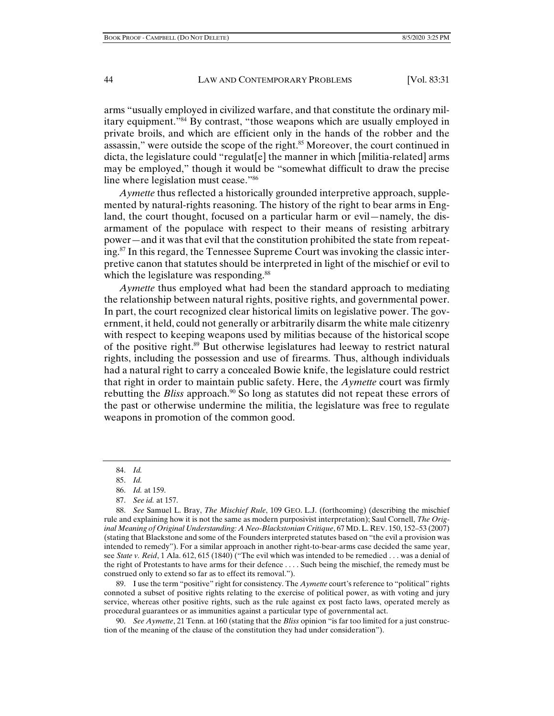arms "usually employed in civilized warfare, and that constitute the ordinary military equipment."84 By contrast, "those weapons which are usually employed in private broils, and which are efficient only in the hands of the robber and the assassin," were outside the scope of the right.<sup>85</sup> Moreover, the court continued in dicta, the legislature could "regulat[e] the manner in which [militia-related] arms may be employed," though it would be "somewhat difficult to draw the precise line where legislation must cease."86

*Aymette* thus reflected a historically grounded interpretive approach, supplemented by natural-rights reasoning. The history of the right to bear arms in England, the court thought, focused on a particular harm or evil—namely, the disarmament of the populace with respect to their means of resisting arbitrary power—and it was that evil that the constitution prohibited the state from repeating.87 In this regard, the Tennessee Supreme Court was invoking the classic interpretive canon that statutes should be interpreted in light of the mischief or evil to which the legislature was responding.<sup>88</sup>

*Aymette* thus employed what had been the standard approach to mediating the relationship between natural rights, positive rights, and governmental power. In part, the court recognized clear historical limits on legislative power. The government, it held, could not generally or arbitrarily disarm the white male citizenry with respect to keeping weapons used by militias because of the historical scope of the positive right.<sup>89</sup> But otherwise legislatures had leeway to restrict natural rights, including the possession and use of firearms. Thus, although individuals had a natural right to carry a concealed Bowie knife, the legislature could restrict that right in order to maintain public safety. Here, the *Aymette* court was firmly rebutting the *Bliss* approach.<sup>90</sup> So long as statutes did not repeat these errors of the past or otherwise undermine the militia, the legislature was free to regulate weapons in promotion of the common good.

87. *See id.* at 157.

 88. *See* Samuel L. Bray, *The Mischief Rule*, 109 GEO. L.J. (forthcoming) (describing the mischief rule and explaining how it is not the same as modern purposivist interpretation); Saul Cornell, *The Original Meaning of Original Understanding: A Neo-Blackstonian Critique*, 67 MD.L. REV. 150, 152–53 (2007) (stating that Blackstone and some of the Founders interpreted statutes based on "the evil a provision was intended to remedy"). For a similar approach in another right-to-bear-arms case decided the same year, see *State v. Reid*, 1 Ala. 612, 615 (1840) ("The evil which was intended to be remedied . . . was a denial of the right of Protestants to have arms for their defence . . . . Such being the mischief, the remedy must be construed only to extend so far as to effect its removal.").

 89. I use the term "positive" right for consistency. The *Aymette* court's reference to "political" rights connoted a subset of positive rights relating to the exercise of political power, as with voting and jury service, whereas other positive rights, such as the rule against ex post facto laws, operated merely as procedural guarantees or as immunities against a particular type of governmental act.

 90. *See Aymette*, 21 Tenn. at 160 (stating that the *Bliss* opinion "is far too limited for a just construction of the meaning of the clause of the constitution they had under consideration").

 <sup>84.</sup> *Id.*

 <sup>85.</sup> *Id.* 

 <sup>86.</sup> *Id.* at 159.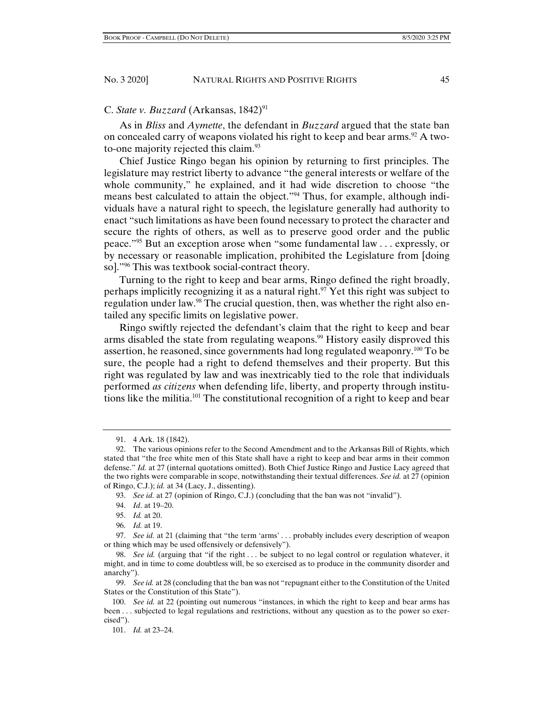## C. *State v. Buzzard* (Arkansas, 1842)<sup>91</sup>

As in *Bliss* and *Aymette*, the defendant in *Buzzard* argued that the state ban on concealed carry of weapons violated his right to keep and bear arms.<sup>92</sup> A twoto-one majority rejected this claim.<sup>93</sup>

Chief Justice Ringo began his opinion by returning to first principles. The legislature may restrict liberty to advance "the general interests or welfare of the whole community," he explained, and it had wide discretion to choose "the means best calculated to attain the object."94 Thus, for example, although individuals have a natural right to speech, the legislature generally had authority to enact "such limitations as have been found necessary to protect the character and secure the rights of others, as well as to preserve good order and the public peace."95 But an exception arose when "some fundamental law . . . expressly, or by necessary or reasonable implication, prohibited the Legislature from [doing so]."96 This was textbook social-contract theory.

Turning to the right to keep and bear arms, Ringo defined the right broadly, perhaps implicitly recognizing it as a natural right.<sup>97</sup> Yet this right was subject to regulation under law.<sup>98</sup> The crucial question, then, was whether the right also entailed any specific limits on legislative power.

Ringo swiftly rejected the defendant's claim that the right to keep and bear arms disabled the state from regulating weapons.<sup>99</sup> History easily disproved this assertion, he reasoned, since governments had long regulated weaponry.<sup>100</sup> To be sure, the people had a right to defend themselves and their property. But this right was regulated by law and was inextricably tied to the role that individuals performed *as citizens* when defending life, liberty, and property through institutions like the militia.<sup>101</sup> The constitutional recognition of a right to keep and bear

93. *See id.* at 27 (opinion of Ringo, C.J.) (concluding that the ban was not "invalid").

- 94. *Id*. at 19–20.
- 95. *Id.* at 20.
- 96. *Id.* at 19.

101. *Id.* at 23–24.

 <sup>91. 4</sup> Ark. 18 (1842).

 <sup>92.</sup> The various opinions refer to the Second Amendment and to the Arkansas Bill of Rights, which stated that "the free white men of this State shall have a right to keep and bear arms in their common defense." *Id.* at 27 (internal quotations omitted). Both Chief Justice Ringo and Justice Lacy agreed that the two rights were comparable in scope, notwithstanding their textual differences. *See id.* at 27 (opinion of Ringo, C.J.); *id.* at 34 (Lacy, J., dissenting).

 <sup>97.</sup> *See id.* at 21 (claiming that "the term 'arms' . . . probably includes every description of weapon or thing which may be used offensively or defensively").

<sup>98.</sup> *See id.* (arguing that "if the right . . . be subject to no legal control or regulation whatever, it might, and in time to come doubtless will, be so exercised as to produce in the community disorder and anarchy").

 <sup>99.</sup> *See id.* at 28 (concluding that the ban was not "repugnant either to the Constitution of the United States or the Constitution of this State").

 <sup>100.</sup> *See id.* at 22 (pointing out numerous "instances, in which the right to keep and bear arms has been . . . subjected to legal regulations and restrictions, without any question as to the power so exercised").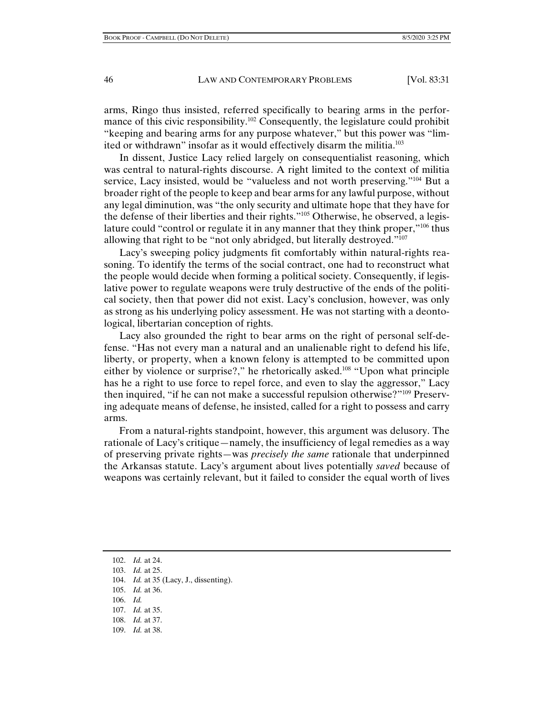arms, Ringo thus insisted, referred specifically to bearing arms in the performance of this civic responsibility.<sup>102</sup> Consequently, the legislature could prohibit "keeping and bearing arms for any purpose whatever," but this power was "limited or withdrawn" insofar as it would effectively disarm the militia.103

In dissent, Justice Lacy relied largely on consequentialist reasoning, which was central to natural-rights discourse. A right limited to the context of militia service, Lacy insisted, would be "valueless and not worth preserving."104 But a broader right of the people to keep and bear arms for any lawful purpose, without any legal diminution, was "the only security and ultimate hope that they have for the defense of their liberties and their rights."105 Otherwise, he observed, a legislature could "control or regulate it in any manner that they think proper," $106$  thus allowing that right to be "not only abridged, but literally destroyed."107

Lacy's sweeping policy judgments fit comfortably within natural-rights reasoning. To identify the terms of the social contract, one had to reconstruct what the people would decide when forming a political society. Consequently, if legislative power to regulate weapons were truly destructive of the ends of the political society, then that power did not exist. Lacy's conclusion, however, was only as strong as his underlying policy assessment. He was not starting with a deontological, libertarian conception of rights.

Lacy also grounded the right to bear arms on the right of personal self-defense. "Has not every man a natural and an unalienable right to defend his life, liberty, or property, when a known felony is attempted to be committed upon either by violence or surprise?," he rhetorically asked.108 "Upon what principle has he a right to use force to repel force, and even to slay the aggressor," Lacy then inquired, "if he can not make a successful repulsion otherwise?"<sup>109</sup> Preserving adequate means of defense, he insisted, called for a right to possess and carry arms.

From a natural-rights standpoint, however, this argument was delusory. The rationale of Lacy's critique—namely, the insufficiency of legal remedies as a way of preserving private rights—was *precisely the same* rationale that underpinned the Arkansas statute. Lacy's argument about lives potentially *saved* because of weapons was certainly relevant, but it failed to consider the equal worth of lives

- 103. *Id.* at 25.
- 104. *Id.* at 35 (Lacy, J., dissenting).
- 105. *Id.* at 36.
- 106. *Id.*
- 107. *Id.* at 35.
- 108. *Id.* at 37.
- 109. *Id.* at 38.

 <sup>102.</sup> *Id.* at 24.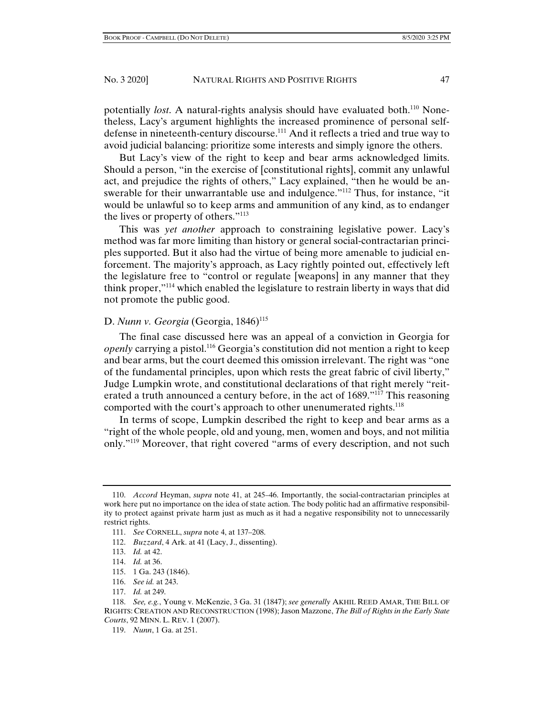potentially *lost*. A natural-rights analysis should have evaluated both.110 Nonetheless, Lacy's argument highlights the increased prominence of personal selfdefense in nineteenth-century discourse.<sup>111</sup> And it reflects a tried and true way to avoid judicial balancing: prioritize some interests and simply ignore the others.

But Lacy's view of the right to keep and bear arms acknowledged limits. Should a person, "in the exercise of [constitutional rights], commit any unlawful act, and prejudice the rights of others," Lacy explained, "then he would be answerable for their unwarrantable use and indulgence."<sup>112</sup> Thus, for instance, "it would be unlawful so to keep arms and ammunition of any kind, as to endanger the lives or property of others."113

This was *yet another* approach to constraining legislative power. Lacy's method was far more limiting than history or general social-contractarian principles supported. But it also had the virtue of being more amenable to judicial enforcement. The majority's approach, as Lacy rightly pointed out, effectively left the legislature free to "control or regulate [weapons] in any manner that they think proper,"114 which enabled the legislature to restrain liberty in ways that did not promote the public good.

## D. *Nunn v. Georgia* (Georgia, 1846)<sup>115</sup>

The final case discussed here was an appeal of a conviction in Georgia for *openly* carrying a pistol.116 Georgia's constitution did not mention a right to keep and bear arms, but the court deemed this omission irrelevant. The right was "one of the fundamental principles, upon which rests the great fabric of civil liberty," Judge Lumpkin wrote, and constitutional declarations of that right merely "reiterated a truth announced a century before, in the act of 1689."117 This reasoning comported with the court's approach to other unenumerated rights.<sup>118</sup>

In terms of scope, Lumpkin described the right to keep and bear arms as a "right of the whole people, old and young, men, women and boys, and not militia only."119 Moreover, that right covered "arms of every description, and not such

115. 1 Ga. 243 (1846).

117. *Id.* at 249.

 <sup>110.</sup> *Accord* Heyman, *supra* note 41, at 245–46. Importantly, the social-contractarian principles at work here put no importance on the idea of state action. The body politic had an affirmative responsibility to protect against private harm just as much as it had a negative responsibility not to unnecessarily restrict rights.

 <sup>111.</sup> *See* CORNELL, *supra* note 4, at 137–208.

 <sup>112.</sup> *Buzzard*, 4 Ark. at 41 (Lacy, J., dissenting).

 <sup>113.</sup> *Id.* at 42.

 <sup>114.</sup> *Id.* at 36.

 <sup>116.</sup> *See id.* at 243.

 <sup>118.</sup> *See, e.g.*, Young v. McKenzie, 3 Ga. 31 (1847); *see generally* AKHIL REED AMAR, THE BILL OF RIGHTS: CREATION AND RECONSTRUCTION (1998); Jason Mazzone, *The Bill of Rights in the Early State Courts*, 92 MINN. L. REV. 1 (2007).

 <sup>119.</sup> *Nunn*, 1 Ga. at 251.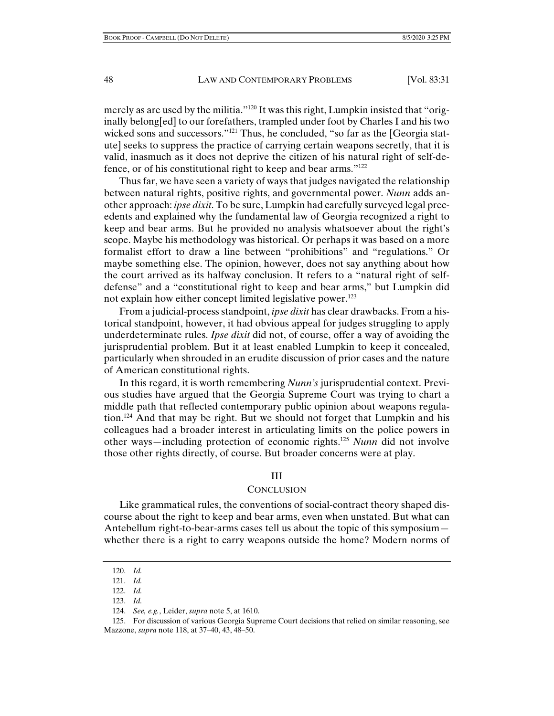merely as are used by the militia."<sup>120</sup> It was this right, Lumpkin insisted that "originally belong[ed] to our forefathers, trampled under foot by Charles I and his two wicked sons and successors."<sup>121</sup> Thus, he concluded, "so far as the [Georgia statute] seeks to suppress the practice of carrying certain weapons secretly, that it is valid, inasmuch as it does not deprive the citizen of his natural right of self-defence, or of his constitutional right to keep and bear arms."122

Thus far, we have seen a variety of ways that judges navigated the relationship between natural rights, positive rights, and governmental power. *Nunn* adds another approach: *ipse dixit*. To be sure, Lumpkin had carefully surveyed legal precedents and explained why the fundamental law of Georgia recognized a right to keep and bear arms. But he provided no analysis whatsoever about the right's scope. Maybe his methodology was historical. Or perhaps it was based on a more formalist effort to draw a line between "prohibitions" and "regulations." Or maybe something else. The opinion, however, does not say anything about how the court arrived as its halfway conclusion. It refers to a "natural right of selfdefense" and a "constitutional right to keep and bear arms," but Lumpkin did not explain how either concept limited legislative power.<sup>123</sup>

From a judicial-process standpoint, *ipse dixit* has clear drawbacks. From a historical standpoint, however, it had obvious appeal for judges struggling to apply underdeterminate rules. *Ipse dixit* did not, of course, offer a way of avoiding the jurisprudential problem. But it at least enabled Lumpkin to keep it concealed, particularly when shrouded in an erudite discussion of prior cases and the nature of American constitutional rights.

 In this regard, it is worth remembering *Nunn's* jurisprudential context. Previous studies have argued that the Georgia Supreme Court was trying to chart a middle path that reflected contemporary public opinion about weapons regulation.124 And that may be right. But we should not forget that Lumpkin and his colleagues had a broader interest in articulating limits on the police powers in other ways—including protection of economic rights.125 *Nunn* did not involve those other rights directly, of course. But broader concerns were at play.

# III

#### **CONCLUSION**

Like grammatical rules, the conventions of social-contract theory shaped discourse about the right to keep and bear arms, even when unstated. But what can Antebellum right-to-bear-arms cases tell us about the topic of this symposium whether there is a right to carry weapons outside the home? Modern norms of

 <sup>120.</sup> *Id.*

 <sup>121.</sup> *Id.*

 <sup>122.</sup> *Id.*

 <sup>123.</sup> *Id.* 

 <sup>124.</sup> *See, e.g.*, Leider, *supra* note 5, at 1610.

 <sup>125.</sup> For discussion of various Georgia Supreme Court decisions that relied on similar reasoning, see Mazzone, *supra* note 118, at 37–40, 43, 48–50.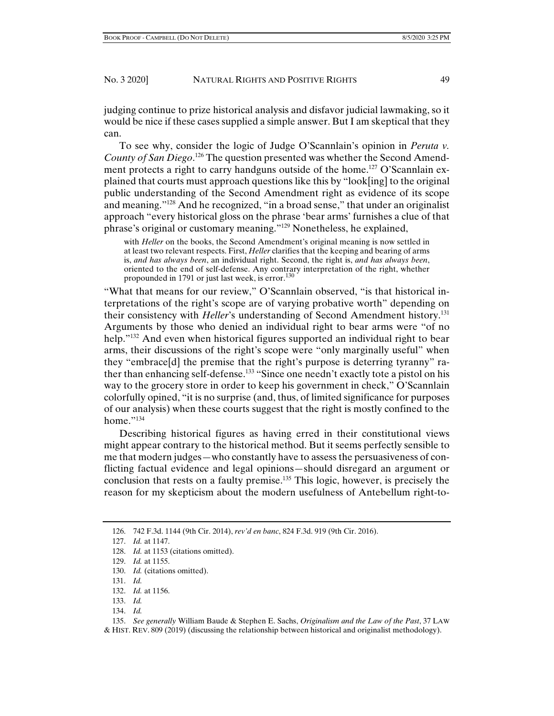judging continue to prize historical analysis and disfavor judicial lawmaking, so it would be nice if these cases supplied a simple answer. But I am skeptical that they can.

To see why, consider the logic of Judge O'Scannlain's opinion in *Peruta v. County of San Diego*. 126 The question presented was whether the Second Amendment protects a right to carry handguns outside of the home.<sup>127</sup> O'Scannlain explained that courts must approach questions like this by "look[ing] to the original public understanding of the Second Amendment right as evidence of its scope and meaning.<sup>"128</sup> And he recognized, "in a broad sense," that under an originalist approach "every historical gloss on the phrase 'bear arms' furnishes a clue of that phrase's original or customary meaning."129 Nonetheless, he explained,

with *Heller* on the books, the Second Amendment's original meaning is now settled in at least two relevant respects. First, *Heller* clarifies that the keeping and bearing of arms is, *and has always been*, an individual right. Second, the right is, *and has always been*, oriented to the end of self-defense. Any contrary interpretation of the right, whether propounded in 1791 or just last week, is error. $130$ 

"What that means for our review," O'Scannlain observed, "is that historical interpretations of the right's scope are of varying probative worth" depending on their consistency with *Heller*'s understanding of Second Amendment history.131 Arguments by those who denied an individual right to bear arms were "of no help.<sup>"132</sup> And even when historical figures supported an individual right to bear arms, their discussions of the right's scope were "only marginally useful" when they "embrace[d] the premise that the right's purpose is deterring tyranny" rather than enhancing self-defense.133 "Since one needn't exactly tote a pistol on his way to the grocery store in order to keep his government in check," O'Scannlain colorfully opined, "it is no surprise (and, thus, of limited significance for purposes of our analysis) when these courts suggest that the right is mostly confined to the home."<sup>134</sup>

Describing historical figures as having erred in their constitutional views might appear contrary to the historical method. But it seems perfectly sensible to me that modern judges—who constantly have to assess the persuasiveness of conflicting factual evidence and legal opinions—should disregard an argument or conclusion that rests on a faulty premise.135 This logic, however, is precisely the reason for my skepticism about the modern usefulness of Antebellum right-to-

126. 742 F.3d. 1144 (9th Cir. 2014), *rev'd en banc*, 824 F.3d. 919 (9th Cir. 2016).

- 133. *Id.*
- 134. *Id.*

 135. *See generally* William Baude & Stephen E. Sachs, *Originalism and the Law of the Past*, 37 LAW & HIST. REV. 809 (2019) (discussing the relationship between historical and originalist methodology).

 <sup>127.</sup> *Id.* at 1147.

 <sup>128.</sup> *Id.* at 1153 (citations omitted).

 <sup>129.</sup> *Id.* at 1155.

 <sup>130.</sup> *Id.* (citations omitted).

 <sup>131.</sup> *Id.* 

 <sup>132.</sup> *Id.* at 1156.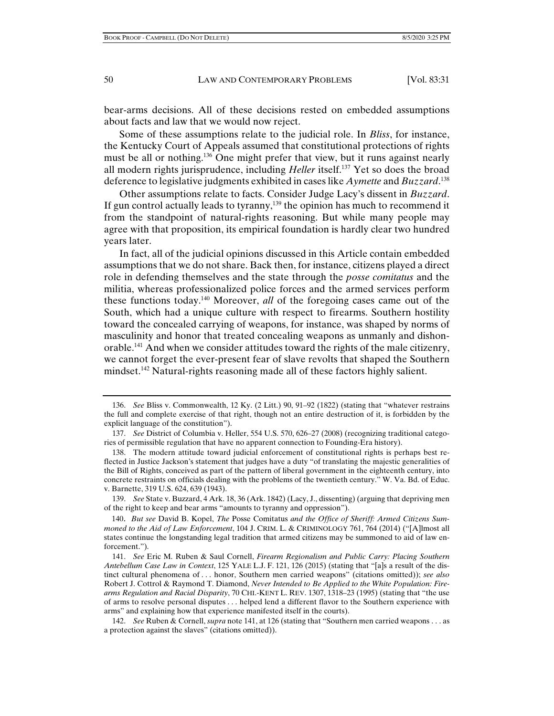bear-arms decisions. All of these decisions rested on embedded assumptions about facts and law that we would now reject.

Some of these assumptions relate to the judicial role. In *Bliss*, for instance, the Kentucky Court of Appeals assumed that constitutional protections of rights must be all or nothing.136 One might prefer that view, but it runs against nearly all modern rights jurisprudence, including *Heller* itself.137 Yet so does the broad deference to legislative judgments exhibited in cases like *Aymette* and *Buzzard*. 138

Other assumptions relate to facts. Consider Judge Lacy's dissent in *Buzzard*. If gun control actually leads to tyranny,139 the opinion has much to recommend it from the standpoint of natural-rights reasoning. But while many people may agree with that proposition, its empirical foundation is hardly clear two hundred years later.

In fact, all of the judicial opinions discussed in this Article contain embedded assumptions that we do not share. Back then, for instance, citizens played a direct role in defending themselves and the state through the *posse comitatus* and the militia, whereas professionalized police forces and the armed services perform these functions today.140 Moreover, *all* of the foregoing cases came out of the South, which had a unique culture with respect to firearms. Southern hostility toward the concealed carrying of weapons, for instance, was shaped by norms of masculinity and honor that treated concealing weapons as unmanly and dishonorable.<sup>141</sup> And when we consider attitudes toward the rights of the male citizenry, we cannot forget the ever-present fear of slave revolts that shaped the Southern mindset.142 Natural-rights reasoning made all of these factors highly salient.

 139. *See* State v. Buzzard, 4 Ark. 18, 36 (Ark. 1842) (Lacy, J., dissenting) (arguing that depriving men of the right to keep and bear arms "amounts to tyranny and oppression").

140. *But see* David B. Kopel, *The* Posse Comitatus *and the Office of Sheriff: Armed Citizens Summoned to the Aid of Law Enforcement*, 104 J. CRIM. L. & CRIMINOLOGY 761, 764 (2014) ("[A]lmost all states continue the longstanding legal tradition that armed citizens may be summoned to aid of law enforcement.").

 <sup>136.</sup> *See* Bliss v. Commonwealth, 12 Ky. (2 Litt.) 90, 91–92 (1822) (stating that "whatever restrains the full and complete exercise of that right, though not an entire destruction of it, is forbidden by the explicit language of the constitution").

 <sup>137.</sup> *See* District of Columbia v. Heller, 554 U.S. 570, 626–27 (2008) (recognizing traditional categories of permissible regulation that have no apparent connection to Founding-Era history).

 <sup>138.</sup> The modern attitude toward judicial enforcement of constitutional rights is perhaps best reflected in Justice Jackson's statement that judges have a duty "of translating the majestic generalities of the Bill of Rights, conceived as part of the pattern of liberal government in the eighteenth century, into concrete restraints on officials dealing with the problems of the twentieth century." W. Va. Bd. of Educ. v. Barnette, 319 U.S. 624, 639 (1943).

 <sup>141.</sup> *See* Eric M. Ruben & Saul Cornell, *Firearm Regionalism and Public Carry: Placing Southern Antebellum Case Law in Context*, 125 YALE L.J. F. 121, 126 (2015) (stating that "[a]s a result of the distinct cultural phenomena of . . . honor, Southern men carried weapons" (citations omitted)); *see also*  Robert J. Cottrol & Raymond T. Diamond, *Never Intended to Be Applied to the White Population: Firearms Regulation and Racial Disparity*, 70 CHI.-KENT L. REV. 1307, 1318–23 (1995) (stating that "the use of arms to resolve personal disputes . . . helped lend a different flavor to the Southern experience with arms" and explaining how that experience manifested itself in the courts).

 <sup>142.</sup> *See* Ruben & Cornell, *supra* note 141, at 126 (stating that "Southern men carried weapons . . . as a protection against the slaves" (citations omitted)).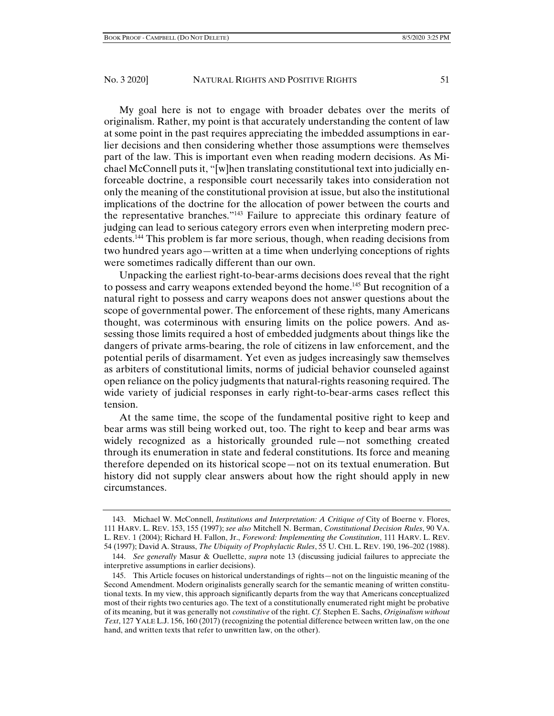My goal here is not to engage with broader debates over the merits of originalism. Rather, my point is that accurately understanding the content of law at some point in the past requires appreciating the imbedded assumptions in earlier decisions and then considering whether those assumptions were themselves part of the law. This is important even when reading modern decisions. As Michael McConnell puts it, "[w]hen translating constitutional text into judicially enforceable doctrine, a responsible court necessarily takes into consideration not only the meaning of the constitutional provision at issue, but also the institutional implications of the doctrine for the allocation of power between the courts and the representative branches."143 Failure to appreciate this ordinary feature of judging can lead to serious category errors even when interpreting modern precedents.144 This problem is far more serious, though, when reading decisions from two hundred years ago—written at a time when underlying conceptions of rights were sometimes radically different than our own.

Unpacking the earliest right-to-bear-arms decisions does reveal that the right to possess and carry weapons extended beyond the home.145 But recognition of a natural right to possess and carry weapons does not answer questions about the scope of governmental power. The enforcement of these rights, many Americans thought, was coterminous with ensuring limits on the police powers. And assessing those limits required a host of embedded judgments about things like the dangers of private arms-bearing, the role of citizens in law enforcement, and the potential perils of disarmament. Yet even as judges increasingly saw themselves as arbiters of constitutional limits, norms of judicial behavior counseled against open reliance on the policy judgments that natural-rights reasoning required. The wide variety of judicial responses in early right-to-bear-arms cases reflect this tension.

At the same time, the scope of the fundamental positive right to keep and bear arms was still being worked out, too. The right to keep and bear arms was widely recognized as a historically grounded rule—not something created through its enumeration in state and federal constitutions. Its force and meaning therefore depended on its historical scope—not on its textual enumeration. But history did not supply clear answers about how the right should apply in new circumstances.

 <sup>143.</sup> Michael W. McConnell, *Institutions and Interpretation: A Critique of* City of Boerne v. Flores, 111 HARV. L. REV. 153, 155 (1997); *see also* Mitchell N. Berman, *Constitutional Decision Rules*, 90 VA. L. REV. 1 (2004); Richard H. Fallon, Jr., *Foreword: Implementing the Constitution*, 111 HARV. L. REV. 54 (1997); David A. Strauss, *The Ubiquity of Prophylactic Rules*, 55 U. CHI. L. REV. 190, 196–202 (1988).

 <sup>144.</sup> *See generally* Masur & Ouellette, *supra* note 13 (discussing judicial failures to appreciate the interpretive assumptions in earlier decisions).

 <sup>145.</sup> This Article focuses on historical understandings of rights—not on the linguistic meaning of the Second Amendment. Modern originalists generally search for the semantic meaning of written constitutional texts. In my view, this approach significantly departs from the way that Americans conceptualized most of their rights two centuries ago. The text of a constitutionally enumerated right might be probative of its meaning, but it was generally not *constitutive* of the right. *Cf.* Stephen E. Sachs, *Originalism without Text*, 127 YALE L.J. 156, 160 (2017) (recognizing the potential difference between written law, on the one hand, and written texts that refer to unwritten law, on the other).